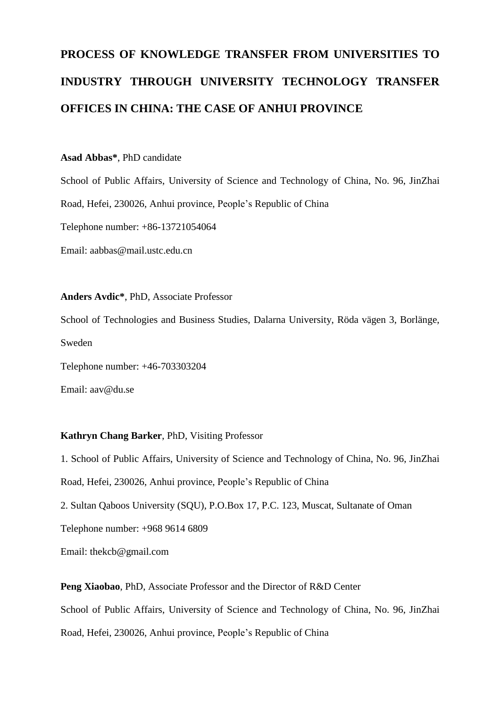# **PROCESS OF KNOWLEDGE TRANSFER FROM UNIVERSITIES TO INDUSTRY THROUGH UNIVERSITY TECHNOLOGY TRANSFER OFFICES IN CHINA: THE CASE OF ANHUI PROVINCE**

#### **Asad Abbas\***, PhD candidate

School of Public Affairs, University of Science and Technology of China, No. 96, JinZhai Road, Hefei, 230026, Anhui province, People's Republic of China Telephone number: +86-13721054064 Email: aabbas@mail.ustc.edu.cn

**Anders Avdic\***, PhD, Associate Professor School of Technologies and Business Studies, Dalarna University, Röda vägen 3, Borlänge, Sweden Telephone number: +46-703303204

Email: aav@du.se

#### **Kathryn Chang Barker**, PhD, Visiting Professor

1. School of Public Affairs, University of Science and Technology of China, No. 96, JinZhai Road, Hefei, 230026, Anhui province, People's Republic of China 2. Sultan Qaboos University (SQU), P.O.Box 17, P.C. 123, Muscat, Sultanate of Oman Telephone number: +968 9614 6809 Email: thekcb@gmail.com

**Peng Xiaobao**, PhD, Associate Professor and the Director of R&D Center School of Public Affairs, University of Science and Technology of China, No. 96, JinZhai Road, Hefei, 230026, Anhui province, People's Republic of China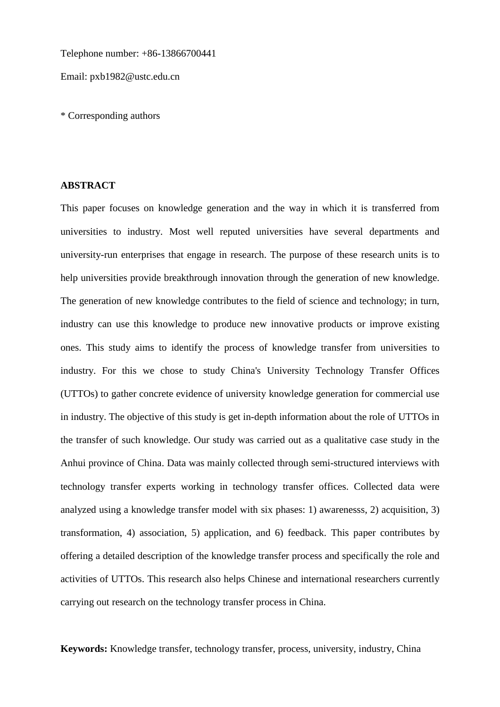Telephone number: +86-13866700441

Email: pxb1982@ustc.edu.cn

\* Corresponding authors

#### **ABSTRACT**

This paper focuses on knowledge generation and the way in which it is transferred from universities to industry. Most well reputed universities have several departments and university-run enterprises that engage in research. The purpose of these research units is to help universities provide breakthrough innovation through the generation of new knowledge. The generation of new knowledge contributes to the field of science and technology; in turn, industry can use this knowledge to produce new innovative products or improve existing ones. This study aims to identify the process of knowledge transfer from universities to industry. For this we chose to study China's University Technology Transfer Offices (UTTOs) to gather concrete evidence of university knowledge generation for commercial use in industry. The objective of this study is get in-depth information about the role of UTTOs in the transfer of such knowledge. Our study was carried out as a qualitative case study in the Anhui province of China. Data was mainly collected through semi-structured interviews with technology transfer experts working in technology transfer offices. Collected data were analyzed using a knowledge transfer model with six phases: 1) awarenesss, 2) acquisition, 3) transformation, 4) association, 5) application, and 6) feedback. This paper contributes by offering a detailed description of the knowledge transfer process and specifically the role and activities of UTTOs. This research also helps Chinese and international researchers currently carrying out research on the technology transfer process in China.

**Keywords:** Knowledge transfer, technology transfer, process, university, industry, China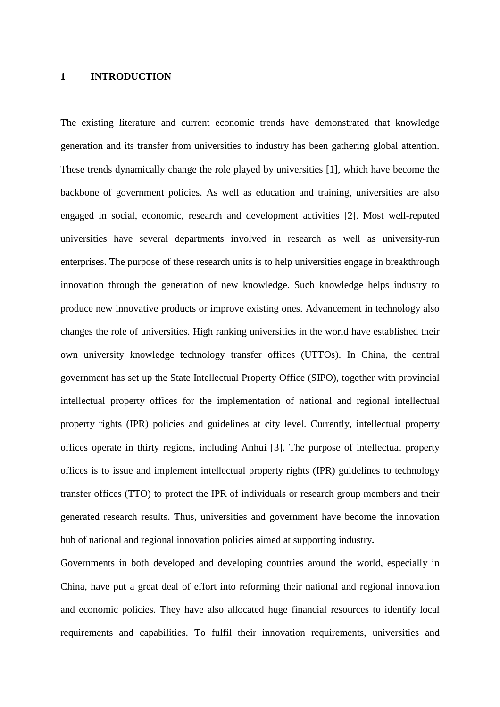#### **1 INTRODUCTION**

The existing literature and current economic trends have demonstrated that knowledge generation and its transfer from universities to industry has been gathering global attention. These trends dynamically change the role played by universities [1], which have become the backbone of government policies. As well as education and training, universities are also engaged in social, economic, research and development activities [2]. Most well-reputed universities have several departments involved in research as well as university-run enterprises. The purpose of these research units is to help universities engage in breakthrough innovation through the generation of new knowledge. Such knowledge helps industry to produce new innovative products or improve existing ones. Advancement in technology also changes the role of universities. High ranking universities in the world have established their own university knowledge technology transfer offices (UTTOs). In China, the central government has set up the State Intellectual Property Office (SIPO), together with provincial intellectual property offices for the implementation of national and regional intellectual property rights (IPR) policies and guidelines at city level. Currently, intellectual property offices operate in thirty regions, including Anhui [3]. The purpose of intellectual property offices is to issue and implement intellectual property rights (IPR) guidelines to technology transfer offices (TTO) to protect the IPR of individuals or research group members and their generated research results. Thus, universities and government have become the innovation hub of national and regional innovation policies aimed at supporting industry**.**

Governments in both developed and developing countries around the world, especially in China, have put a great deal of effort into reforming their national and regional innovation and economic policies. They have also allocated huge financial resources to identify local requirements and capabilities. To fulfil their innovation requirements, universities and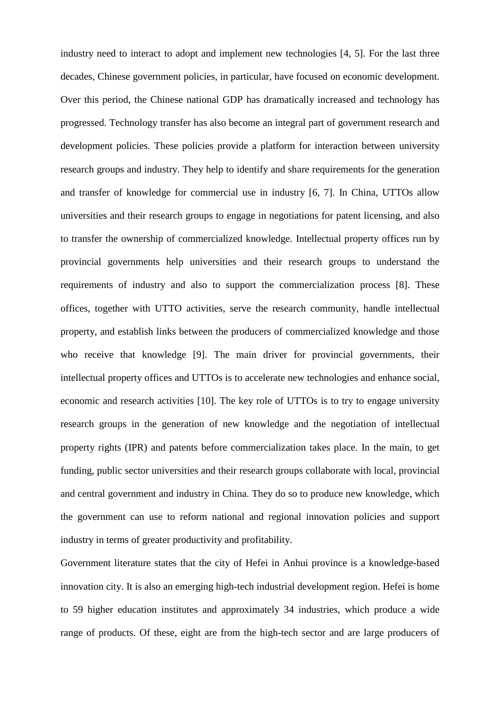industry need to interact to adopt and implement new technologies [4, 5]. For the last three decades, Chinese government policies, in particular, have focused on economic development. Over this period, the Chinese national GDP has dramatically increased and technology has progressed. Technology transfer has also become an integral part of government research and development policies. These policies provide a platform for interaction between university research groups and industry. They help to identify and share requirements for the generation and transfer of knowledge for commercial use in industry [6, 7]. In China, UTTOs allow universities and their research groups to engage in negotiations for patent licensing, and also to transfer the ownership of commercialized knowledge. Intellectual property offices run by provincial governments help universities and their research groups to understand the requirements of industry and also to support the commercialization process [8]. These offices, together with UTTO activities, serve the research community, handle intellectual property, and establish links between the producers of commercialized knowledge and those who receive that knowledge [9]. The main driver for provincial governments, their intellectual property offices and UTTOs is to accelerate new technologies and enhance social, economic and research activities [10]. The key role of UTTOs is to try to engage university research groups in the generation of new knowledge and the negotiation of intellectual property rights (IPR) and patents before commercialization takes place. In the main, to get funding, public sector universities and their research groups collaborate with local, provincial and central government and industry in China. They do so to produce new knowledge, which the government can use to reform national and regional innovation policies and support industry in terms of greater productivity and profitability.

Government literature states that the city of Hefei in Anhui province is a knowledge-based innovation city. It is also an emerging high-tech industrial development region. Hefei is home to 59 higher education institutes and approximately 34 industries, which produce a wide range of products. Of these, eight are from the high-tech sector and are large producers of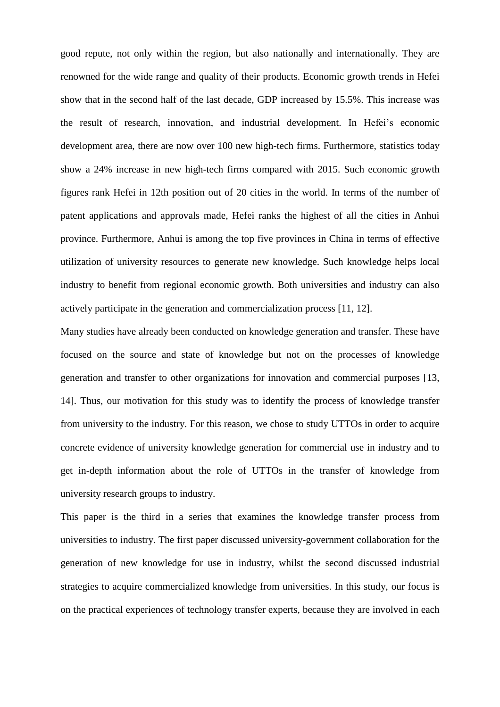good repute, not only within the region, but also nationally and internationally. They are renowned for the wide range and quality of their products. Economic growth trends in Hefei show that in the second half of the last decade, GDP increased by 15.5%. This increase was the result of research, innovation, and industrial development. In Hefei's economic development area, there are now over 100 new high-tech firms. Furthermore, statistics today show a 24% increase in new high-tech firms compared with 2015. Such economic growth figures rank Hefei in 12th position out of 20 cities in the world. In terms of the number of patent applications and approvals made, Hefei ranks the highest of all the cities in Anhui province. Furthermore, Anhui is among the top five provinces in China in terms of effective utilization of university resources to generate new knowledge. Such knowledge helps local industry to benefit from regional economic growth. Both universities and industry can also actively participate in the generation and commercialization process [11, 12].

Many studies have already been conducted on knowledge generation and transfer. These have focused on the source and state of knowledge but not on the processes of knowledge generation and transfer to other organizations for innovation and commercial purposes [13, 14]. Thus, our motivation for this study was to identify the process of knowledge transfer from university to the industry. For this reason, we chose to study UTTOs in order to acquire concrete evidence of university knowledge generation for commercial use in industry and to get in-depth information about the role of UTTOs in the transfer of knowledge from university research groups to industry.

This paper is the third in a series that examines the knowledge transfer process from universities to industry. The first paper discussed university-government collaboration for the generation of new knowledge for use in industry, whilst the second discussed industrial strategies to acquire commercialized knowledge from universities. In this study, our focus is on the practical experiences of technology transfer experts, because they are involved in each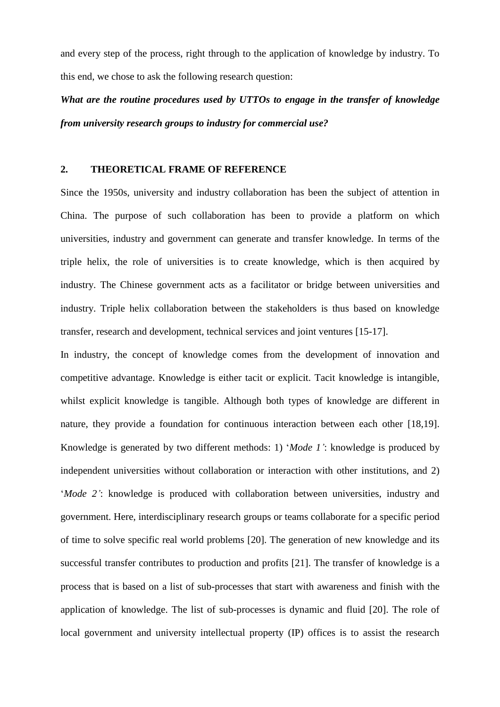and every step of the process, right through to the application of knowledge by industry. To this end, we chose to ask the following research question:

*What are the routine procedures used by UTTOs to engage in the transfer of knowledge from university research groups to industry for commercial use?*

# **2. THEORETICAL FRAME OF REFERENCE**

Since the 1950s, university and industry collaboration has been the subject of attention in China. The purpose of such collaboration has been to provide a platform on which universities, industry and government can generate and transfer knowledge. In terms of the triple helix, the role of universities is to create knowledge, which is then acquired by industry. The Chinese government acts as a facilitator or bridge between universities and industry. Triple helix collaboration between the stakeholders is thus based on knowledge transfer, research and development, technical services and joint ventures [15-17].

In industry, the concept of knowledge comes from the development of innovation and competitive advantage. Knowledge is either tacit or explicit. Tacit knowledge is intangible, whilst explicit knowledge is tangible. Although both types of knowledge are different in nature, they provide a foundation for continuous interaction between each other [18,19]. Knowledge is generated by two different methods: 1) '*Mode 1'*: knowledge is produced by independent universities without collaboration or interaction with other institutions, and 2) '*Mode 2'*: knowledge is produced with collaboration between universities, industry and government. Here, interdisciplinary research groups or teams collaborate for a specific period of time to solve specific real world problems [20]. The generation of new knowledge and its successful transfer contributes to production and profits [21]. The transfer of knowledge is a process that is based on a list of sub-processes that start with awareness and finish with the application of knowledge. The list of sub-processes is dynamic and fluid [20]. The role of local government and university intellectual property (IP) offices is to assist the research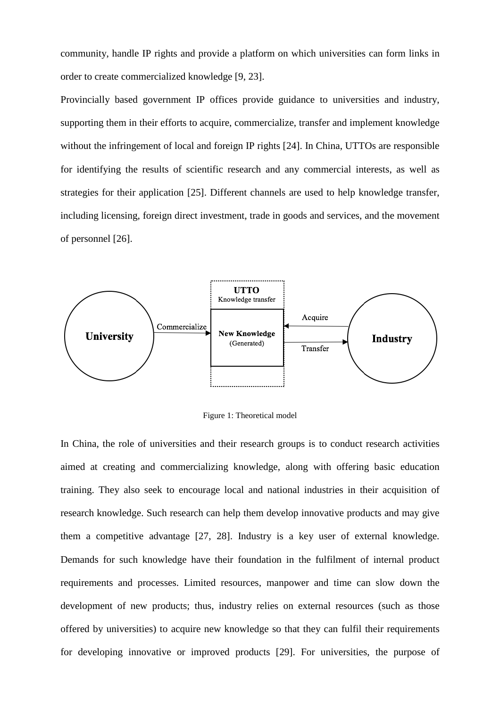community, handle IP rights and provide a platform on which universities can form links in order to create commercialized knowledge [9, 23].

Provincially based government IP offices provide guidance to universities and industry, supporting them in their efforts to acquire, commercialize, transfer and implement knowledge without the infringement of local and foreign IP rights [24]. In China, UTTOs are responsible for identifying the results of scientific research and any commercial interests, as well as strategies for their application [25]. Different channels are used to help knowledge transfer, including licensing, foreign direct investment, trade in goods and services, and the movement of personnel [26].



Figure 1: Theoretical model

In China, the role of universities and their research groups is to conduct research activities aimed at creating and commercializing knowledge, along with offering basic education training. They also seek to encourage local and national industries in their acquisition of research knowledge. Such research can help them develop innovative products and may give them a competitive advantage [27, 28]. Industry is a key user of external knowledge. Demands for such knowledge have their foundation in the fulfilment of internal product requirements and processes. Limited resources, manpower and time can slow down the development of new products; thus, industry relies on external resources (such as those offered by universities) to acquire new knowledge so that they can fulfil their requirements for developing innovative or improved products [29]. For universities, the purpose of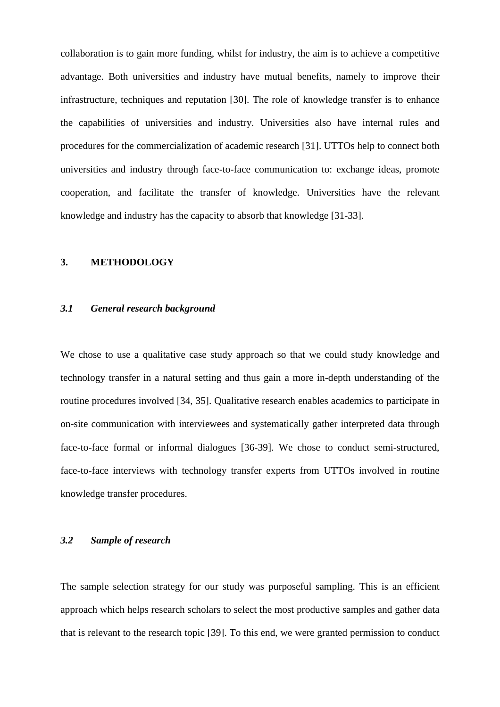collaboration is to gain more funding, whilst for industry, the aim is to achieve a competitive advantage. Both universities and industry have mutual benefits, namely to improve their infrastructure, techniques and reputation [30]. The role of knowledge transfer is to enhance the capabilities of universities and industry. Universities also have internal rules and procedures for the commercialization of academic research [31]. UTTOs help to connect both universities and industry through face-to-face communication to: exchange ideas, promote cooperation, and facilitate the transfer of knowledge. Universities have the relevant knowledge and industry has the capacity to absorb that knowledge [31-33].

### **3. METHODOLOGY**

# *3.1 General research background*

We chose to use a qualitative case study approach so that we could study knowledge and technology transfer in a natural setting and thus gain a more in-depth understanding of the routine procedures involved [34, 35]. Qualitative research enables academics to participate in on-site communication with interviewees and systematically gather interpreted data through face-to-face formal or informal dialogues [36-39]. We chose to conduct semi-structured, face-to-face interviews with technology transfer experts from UTTOs involved in routine knowledge transfer procedures.

# *3.2 Sample of research*

The sample selection strategy for our study was purposeful sampling. This is an efficient approach which helps research scholars to select the most productive samples and gather data that is relevant to the research topic [39]. To this end, we were granted permission to conduct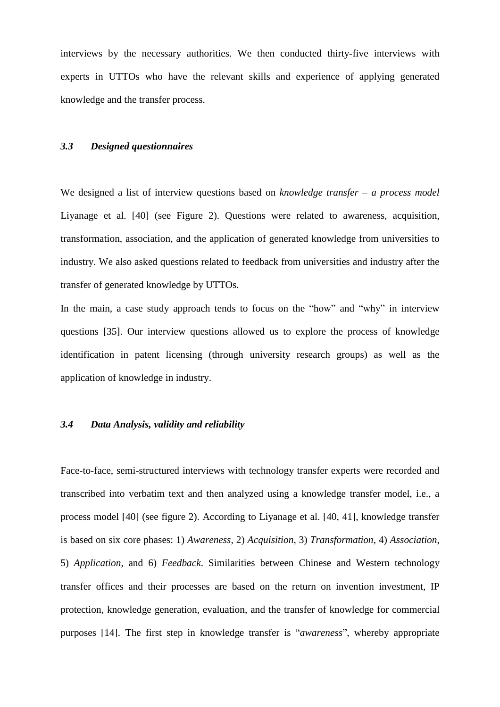interviews by the necessary authorities. We then conducted thirty-five interviews with experts in UTTOs who have the relevant skills and experience of applying generated knowledge and the transfer process.

# *3.3 Designed questionnaires*

We designed a list of interview questions based on *knowledge transfer – a process model* Liyanage et al. [40] (see Figure 2). Questions were related to awareness, acquisition, transformation, association, and the application of generated knowledge from universities to industry. We also asked questions related to feedback from universities and industry after the transfer of generated knowledge by UTTOs.

In the main, a case study approach tends to focus on the "how" and "why" in interview questions [35]. Our interview questions allowed us to explore the process of knowledge identification in patent licensing (through university research groups) as well as the application of knowledge in industry.

#### *3.4 Data Analysis, validity and reliability*

Face-to-face, semi-structured interviews with technology transfer experts were recorded and transcribed into verbatim text and then analyzed using a knowledge transfer model, i.e., a process model [40] (see figure 2). According to Liyanage et al. [40, 41], knowledge transfer is based on six core phases: 1) *Awareness*, 2) *Acquisition*, 3) *Transformation*, 4) *Association*, 5) *Application*, and 6) *Feedback*. Similarities between Chinese and Western technology transfer offices and their processes are based on the return on invention investment, IP protection, knowledge generation, evaluation, and the transfer of knowledge for commercial purposes [14]. The first step in knowledge transfer is "*awareness*", whereby appropriate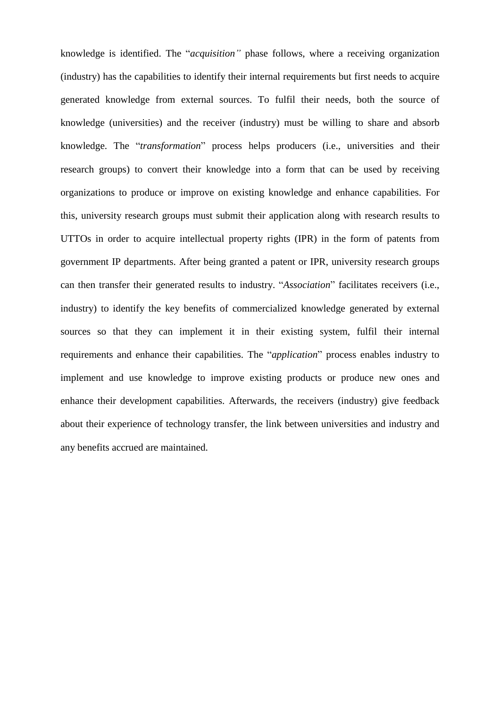knowledge is identified. The "*acquisition"* phase follows, where a receiving organization (industry) has the capabilities to identify their internal requirements but first needs to acquire generated knowledge from external sources. To fulfil their needs, both the source of knowledge (universities) and the receiver (industry) must be willing to share and absorb knowledge. The "*transformation*" process helps producers (i.e., universities and their research groups) to convert their knowledge into a form that can be used by receiving organizations to produce or improve on existing knowledge and enhance capabilities. For this, university research groups must submit their application along with research results to UTTOs in order to acquire intellectual property rights (IPR) in the form of patents from government IP departments. After being granted a patent or IPR, university research groups can then transfer their generated results to industry. "*Association*" facilitates receivers (i.e., industry) to identify the key benefits of commercialized knowledge generated by external sources so that they can implement it in their existing system, fulfil their internal requirements and enhance their capabilities. The "*application*" process enables industry to implement and use knowledge to improve existing products or produce new ones and enhance their development capabilities. Afterwards, the receivers (industry) give feedback about their experience of technology transfer, the link between universities and industry and any benefits accrued are maintained.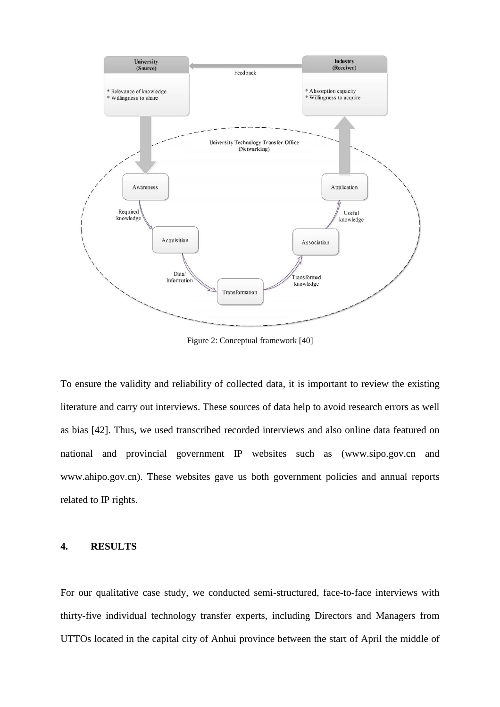

Figure 2: Conceptual framework [40]

To ensure the validity and reliability of collected data, it is important to review the existing literature and carry out interviews. These sources of data help to avoid research errors as well as bias [42]. Thus, we used transcribed recorded interviews and also online data featured on national and provincial government IP websites such as (www.sipo.gov.cn and www.ahipo.gov.cn). These websites gave us both government policies and annual reports related to IP rights.

# **4. RESULTS**

For our qualitative case study, we conducted semi-structured, face-to-face interviews with thirty-five individual technology transfer experts, including Directors and Managers from UTTOs located in the capital city of Anhui province between the start of April the middle of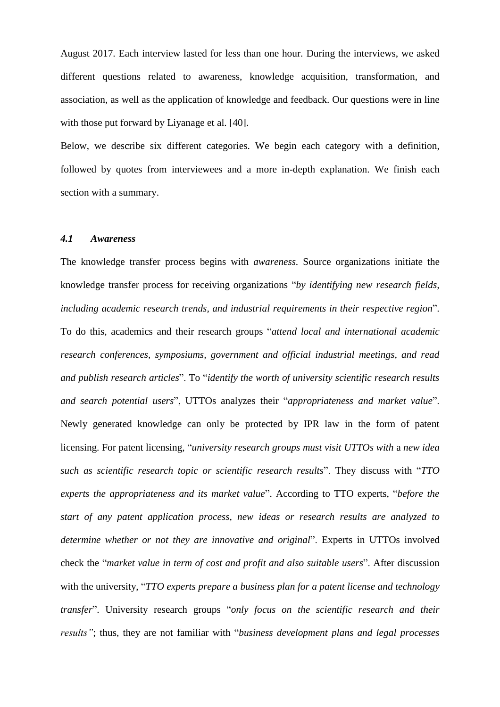August 2017. Each interview lasted for less than one hour. During the interviews, we asked different questions related to awareness, knowledge acquisition, transformation, and association, as well as the application of knowledge and feedback. Our questions were in line with those put forward by Liyanage et al. [40].

Below, we describe six different categories. We begin each category with a definition, followed by quotes from interviewees and a more in-depth explanation. We finish each section with a summary.

#### *4.1 Awareness*

The knowledge transfer process begins with *awareness.* Source organizations initiate the knowledge transfer process for receiving organizations "*by identifying new research fields, including academic research trends, and industrial requirements in their respective region*". To do this, academics and their research groups "*attend local and international academic research conferences, symposiums, government and official industrial meetings, and read and publish research articles*". To "*identify the worth of university scientific research results and search potential users*", UTTOs analyzes their "*appropriateness and market value*". Newly generated knowledge can only be protected by IPR law in the form of patent licensing. For patent licensing, "*university research groups must visit UTTOs with* a *new idea such as scientific research topic or scientific research results*". They discuss with "*TTO experts the appropriateness and its market value*". According to TTO experts, "*before the start of any patent application process, new ideas or research results are analyzed to determine whether or not they are innovative and original*". Experts in UTTOs involved check the "*market value in term of cost and profit and also suitable users*". After discussion with the university, "*TTO experts prepare a business plan for a patent license and technology transfer*". University research groups "*only focus on the scientific research and their results"*; thus, they are not familiar with "*business development plans and legal processes*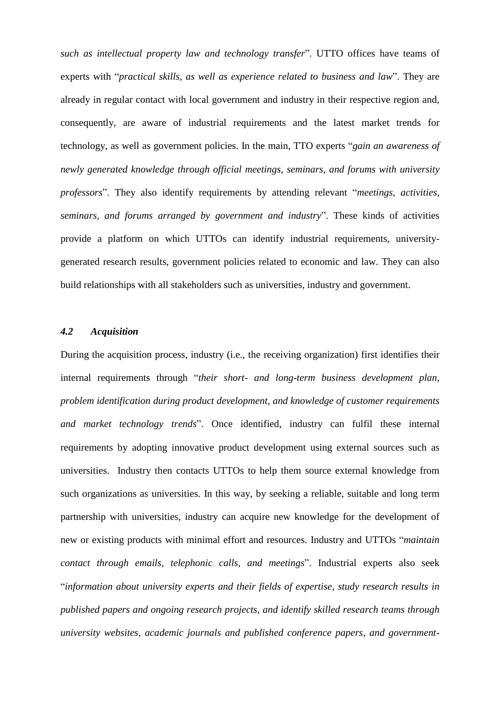*such as intellectual property law and technology transfer*". UTTO offices have teams of experts with "*practical skills, as well as experience related to business and law*". They are already in regular contact with local government and industry in their respective region and, consequently, are aware of industrial requirements and the latest market trends for technology, as well as government policies. In the main, TTO experts "*gain an awareness of newly generated knowledge through official meetings, seminars, and forums with university professors*". They also identify requirements by attending relevant "*meetings, activities, seminars, and forums arranged by government and industry*". These kinds of activities provide a platform on which UTTOs can identify industrial requirements, universitygenerated research results, government policies related to economic and law. They can also build relationships with all stakeholders such as universities, industry and government.

# *4.2 Acquisition*

During the acquisition process, industry (i.e., the receiving organization) first identifies their internal requirements through "*their short- and long-term business development plan, problem identification during product development, and knowledge of customer requirements and market technology trends*". Once identified, industry can fulfil these internal requirements by adopting innovative product development using external sources such as universities. Industry then contacts UTTOs to help them source external knowledge from such organizations as universities. In this way, by seeking a reliable, suitable and long term partnership with universities, industry can acquire new knowledge for the development of new or existing products with minimal effort and resources. Industry and UTTOs "*maintain contact through emails, telephonic calls, and meetings*". Industrial experts also seek "*information about university experts and their fields of expertise, study research results in published papers and ongoing research projects, and identify skilled research teams through university websites, academic journals and published conference papers, and government-*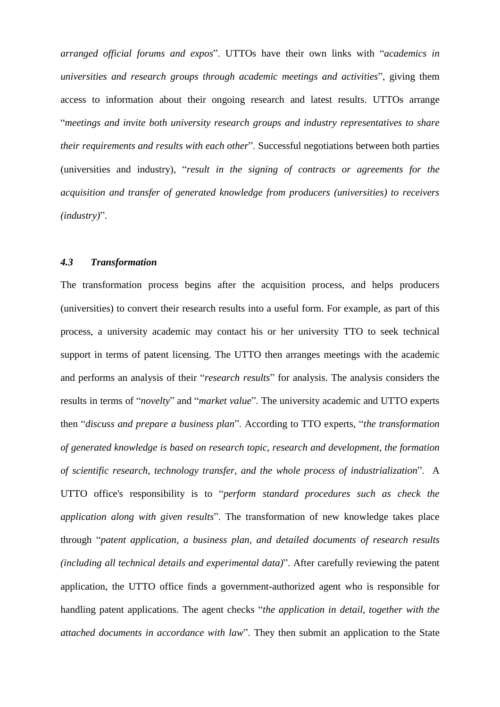*arranged official forums and expos*". UTTOs have their own links with "*academics in universities and research groups through academic meetings and activities*", giving them access to information about their ongoing research and latest results. UTTOs arrange "*meetings and invite both university research groups and industry representatives to share their requirements and results with each other*". Successful negotiations between both parties (universities and industry), "*result in the signing of contracts or agreements for the acquisition and transfer of generated knowledge from producers (universities) to receivers (industry)*".

# *4.3 Transformation*

The transformation process begins after the acquisition process, and helps producers (universities) to convert their research results into a useful form. For example, as part of this process, a university academic may contact his or her university TTO to seek technical support in terms of patent licensing. The UTTO then arranges meetings with the academic and performs an analysis of their "*research results*" for analysis. The analysis considers the results in terms of "*novelty*" and "*market value*". The university academic and UTTO experts then "*discuss and prepare a business plan*". According to TTO experts, "*the transformation of generated knowledge is based on research topic, research and development, the formation of scientific research, technology transfer, and the whole process of industrialization*". A UTTO office's responsibility is to "*perform standard procedures such as check the application along with given results*". The transformation of new knowledge takes place through "*patent application, a business plan, and detailed documents of research results (including all technical details and experimental data)*". After carefully reviewing the patent application, the UTTO office finds a government-authorized agent who is responsible for handling patent applications. The agent checks "*the application in detail, together with the attached documents in accordance with law*". They then submit an application to the State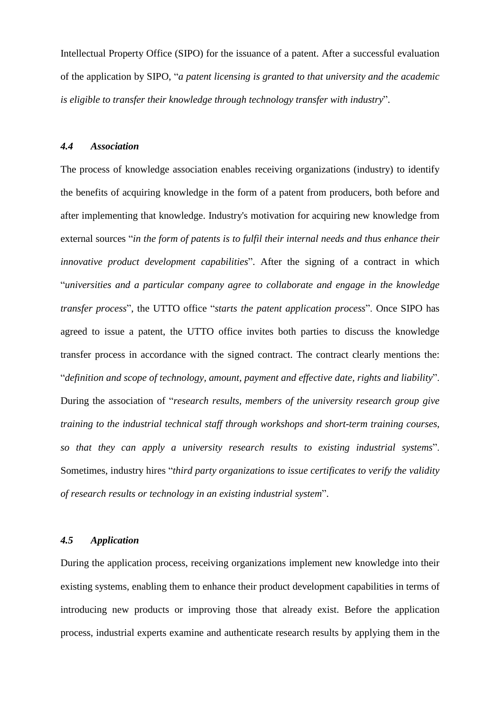Intellectual Property Office (SIPO) for the issuance of a patent. After a successful evaluation of the application by SIPO, "*a patent licensing is granted to that university and the academic is eligible to transfer their knowledge through technology transfer with industry*".

# *4.4 Association*

The process of knowledge association enables receiving organizations (industry) to identify the benefits of acquiring knowledge in the form of a patent from producers, both before and after implementing that knowledge. Industry's motivation for acquiring new knowledge from external sources "*in the form of patents is to fulfil their internal needs and thus enhance their innovative product development capabilities*". After the signing of a contract in which "*universities and a particular company agree to collaborate and engage in the knowledge transfer process*", the UTTO office "*starts the patent application process*". Once SIPO has agreed to issue a patent, the UTTO office invites both parties to discuss the knowledge transfer process in accordance with the signed contract. The contract clearly mentions the: "*definition and scope of technology, amount, payment and effective date, rights and liability*". During the association of "*research results, members of the university research group give training to the industrial technical staff through workshops and short-term training courses, so that they can apply a university research results to existing industrial systems*". Sometimes, industry hires "*third party organizations to issue certificates to verify the validity of research results or technology in an existing industrial system*".

#### *4.5 Application*

During the application process, receiving organizations implement new knowledge into their existing systems, enabling them to enhance their product development capabilities in terms of introducing new products or improving those that already exist. Before the application process, industrial experts examine and authenticate research results by applying them in the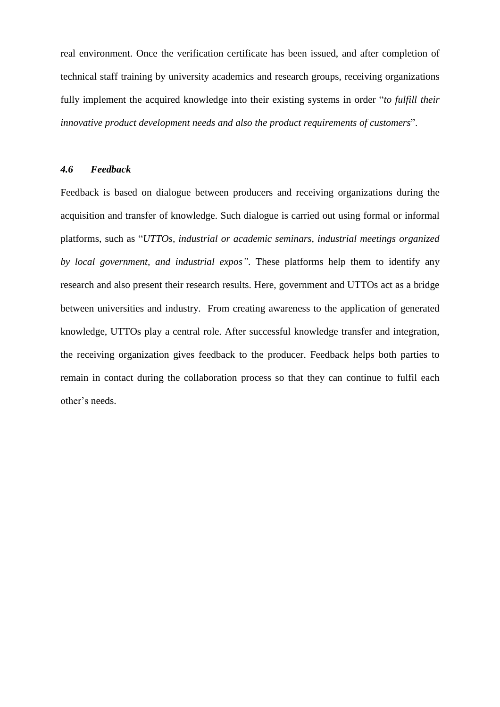real environment. Once the verification certificate has been issued, and after completion of technical staff training by university academics and research groups, receiving organizations fully implement the acquired knowledge into their existing systems in order "*to fulfill their innovative product development needs and also the product requirements of customers*".

#### *4.6 Feedback*

Feedback is based on dialogue between producers and receiving organizations during the acquisition and transfer of knowledge. Such dialogue is carried out using formal or informal platforms, such as "*UTTOs, industrial or academic seminars, industrial meetings organized by local government, and industrial expos"*. These platforms help them to identify any research and also present their research results. Here, government and UTTOs act as a bridge between universities and industry. From creating awareness to the application of generated knowledge, UTTOs play a central role. After successful knowledge transfer and integration, the receiving organization gives feedback to the producer. Feedback helps both parties to remain in contact during the collaboration process so that they can continue to fulfil each other's needs.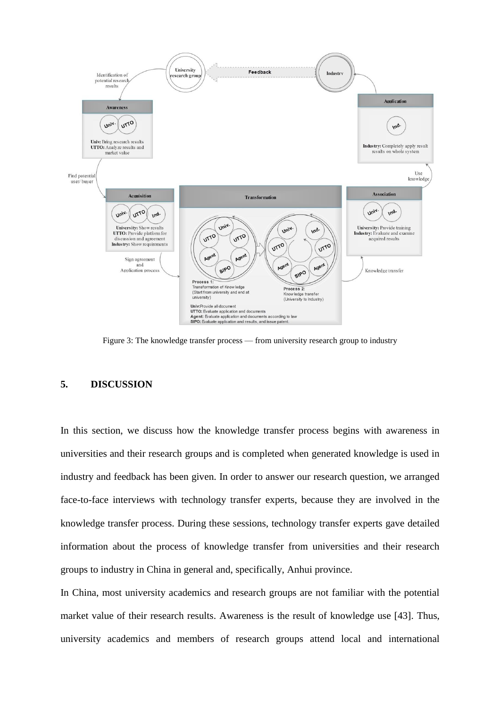

Figure 3: The knowledge transfer process — from university research group to industry

## **5. DISCUSSION**

In this section, we discuss how the knowledge transfer process begins with awareness in universities and their research groups and is completed when generated knowledge is used in industry and feedback has been given. In order to answer our research question, we arranged face-to-face interviews with technology transfer experts, because they are involved in the knowledge transfer process. During these sessions, technology transfer experts gave detailed information about the process of knowledge transfer from universities and their research groups to industry in China in general and, specifically, Anhui province.

In China, most university academics and research groups are not familiar with the potential market value of their research results. Awareness is the result of knowledge use [43]. Thus, university academics and members of research groups attend local and international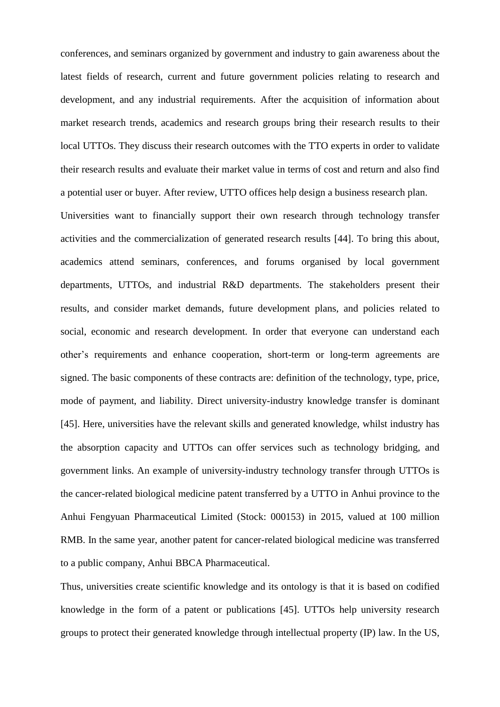conferences, and seminars organized by government and industry to gain awareness about the latest fields of research, current and future government policies relating to research and development, and any industrial requirements. After the acquisition of information about market research trends, academics and research groups bring their research results to their local UTTOs. They discuss their research outcomes with the TTO experts in order to validate their research results and evaluate their market value in terms of cost and return and also find a potential user or buyer. After review, UTTO offices help design a business research plan.

Universities want to financially support their own research through technology transfer activities and the commercialization of generated research results [44]. To bring this about, academics attend seminars, conferences, and forums organised by local government departments, UTTOs, and industrial R&D departments. The stakeholders present their results, and consider market demands, future development plans, and policies related to social, economic and research development. In order that everyone can understand each other's requirements and enhance cooperation, short-term or long-term agreements are signed. The basic components of these contracts are: definition of the technology, type, price, mode of payment, and liability. Direct university-industry knowledge transfer is dominant [45]. Here, universities have the relevant skills and generated knowledge, whilst industry has the absorption capacity and UTTOs can offer services such as technology bridging, and government links. An example of university-industry technology transfer through UTTOs is the cancer-related biological medicine patent transferred by a UTTO in Anhui province to the Anhui Fengyuan Pharmaceutical Limited (Stock: 000153) in 2015, valued at 100 million RMB. In the same year, another patent for cancer-related biological medicine was transferred to a public company, Anhui BBCA Pharmaceutical.

Thus, universities create scientific knowledge and its ontology is that it is based on codified knowledge in the form of a patent or publications [45]. UTTOs help university research groups to protect their generated knowledge through intellectual property (IP) law. In the US,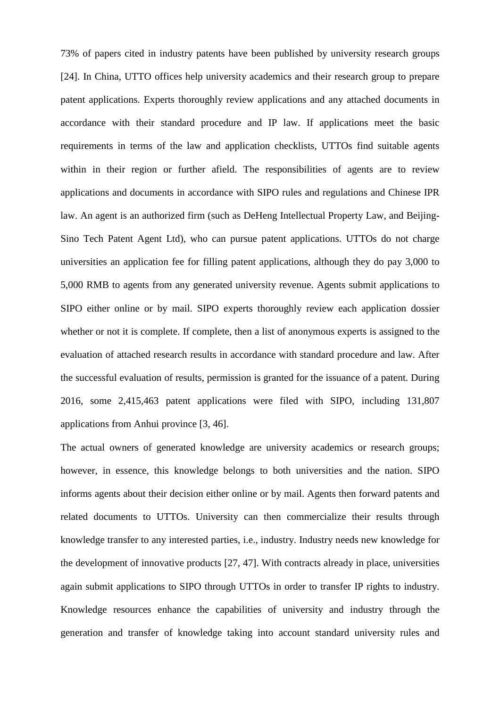73% of papers cited in industry patents have been published by university research groups [24]. In China, UTTO offices help university academics and their research group to prepare patent applications. Experts thoroughly review applications and any attached documents in accordance with their standard procedure and IP law. If applications meet the basic requirements in terms of the law and application checklists, UTTOs find suitable agents within in their region or further afield. The responsibilities of agents are to review applications and documents in accordance with SIPO rules and regulations and Chinese IPR law. An agent is an authorized firm (such as DeHeng Intellectual Property Law, and Beijing-Sino Tech Patent Agent Ltd), who can pursue patent applications. UTTOs do not charge universities an application fee for filling patent applications, although they do pay 3,000 to 5,000 RMB to agents from any generated university revenue. Agents submit applications to SIPO either online or by mail. SIPO experts thoroughly review each application dossier whether or not it is complete. If complete, then a list of anonymous experts is assigned to the evaluation of attached research results in accordance with standard procedure and law. After the successful evaluation of results, permission is granted for the issuance of a patent. During 2016, some 2,415,463 patent applications were filed with SIPO, including 131,807 applications from Anhui province [3, 46].

The actual owners of generated knowledge are university academics or research groups; however, in essence, this knowledge belongs to both universities and the nation. SIPO informs agents about their decision either online or by mail. Agents then forward patents and related documents to UTTOs. University can then commercialize their results through knowledge transfer to any interested parties, i.e., industry. Industry needs new knowledge for the development of innovative products [27, 47]. With contracts already in place, universities again submit applications to SIPO through UTTOs in order to transfer IP rights to industry. Knowledge resources enhance the capabilities of university and industry through the generation and transfer of knowledge taking into account standard university rules and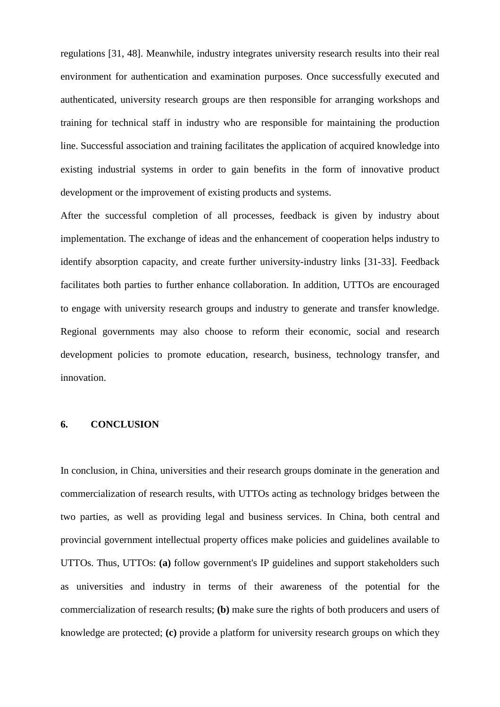regulations [31, 48]. Meanwhile, industry integrates university research results into their real environment for authentication and examination purposes. Once successfully executed and authenticated, university research groups are then responsible for arranging workshops and training for technical staff in industry who are responsible for maintaining the production line. Successful association and training facilitates the application of acquired knowledge into existing industrial systems in order to gain benefits in the form of innovative product development or the improvement of existing products and systems.

After the successful completion of all processes, feedback is given by industry about implementation. The exchange of ideas and the enhancement of cooperation helps industry to identify absorption capacity, and create further university-industry links [31-33]. Feedback facilitates both parties to further enhance collaboration. In addition, UTTOs are encouraged to engage with university research groups and industry to generate and transfer knowledge. Regional governments may also choose to reform their economic, social and research development policies to promote education, research, business, technology transfer, and innovation.

#### **6. CONCLUSION**

In conclusion, in China, universities and their research groups dominate in the generation and commercialization of research results, with UTTOs acting as technology bridges between the two parties, as well as providing legal and business services. In China, both central and provincial government intellectual property offices make policies and guidelines available to UTTOs. Thus, UTTOs: **(a)** follow government's IP guidelines and support stakeholders such as universities and industry in terms of their awareness of the potential for the commercialization of research results; **(b)** make sure the rights of both producers and users of knowledge are protected; **(c)** provide a platform for university research groups on which they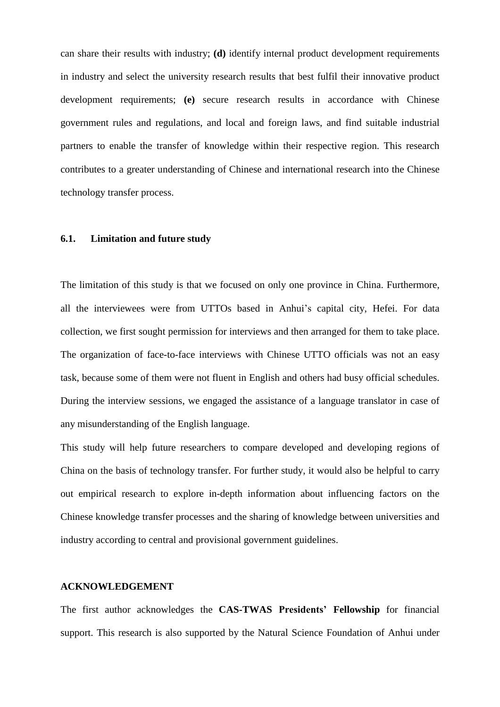can share their results with industry; **(d)** identify internal product development requirements in industry and select the university research results that best fulfil their innovative product development requirements; **(e)** secure research results in accordance with Chinese government rules and regulations, and local and foreign laws, and find suitable industrial partners to enable the transfer of knowledge within their respective region. This research contributes to a greater understanding of Chinese and international research into the Chinese technology transfer process.

# **6.1. Limitation and future study**

The limitation of this study is that we focused on only one province in China. Furthermore, all the interviewees were from UTTOs based in Anhui's capital city, Hefei. For data collection, we first sought permission for interviews and then arranged for them to take place. The organization of face-to-face interviews with Chinese UTTO officials was not an easy task, because some of them were not fluent in English and others had busy official schedules. During the interview sessions, we engaged the assistance of a language translator in case of any misunderstanding of the English language.

This study will help future researchers to compare developed and developing regions of China on the basis of technology transfer. For further study, it would also be helpful to carry out empirical research to explore in-depth information about influencing factors on the Chinese knowledge transfer processes and the sharing of knowledge between universities and industry according to central and provisional government guidelines.

#### **ACKNOWLEDGEMENT**

The first author acknowledges the **CAS-TWAS Presidents' Fellowship** for financial support. This research is also supported by the Natural Science Foundation of Anhui under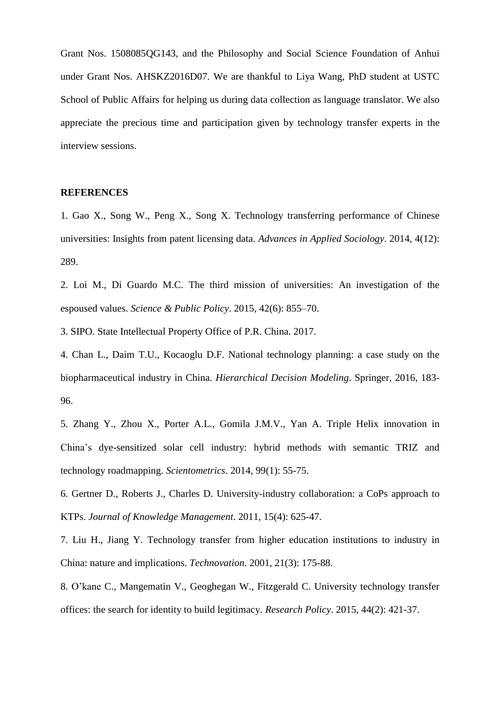Grant Nos. 1508085QG143, and the Philosophy and Social Science Foundation of Anhui under Grant Nos. AHSKZ2016D07. We are thankful to Liya Wang, PhD student at USTC School of Public Affairs for helping us during data collection as language translator. We also appreciate the precious time and participation given by technology transfer experts in the interview sessions.

# **REFERENCES**

1. Gao X., Song W., Peng X., Song X. Technology transferring performance of Chinese universities: Insights from patent licensing data. *Advances in Applied Sociology*. 2014, 4(12): 289.

2. Loi M., Di Guardo M.C. The third mission of universities: An investigation of the espoused values. *Science & Public Policy*. 2015, 42(6): 855–70.

3. SIPO. State Intellectual Property Office of P.R. China. 2017.

4. Chan L., Daim T.U., Kocaoglu D.F. National technology planning: a case study on the biopharmaceutical industry in China. *Hierarchical Decision Modeling*. Springer, 2016, 183- 96.

5. Zhang Y., Zhou X., Porter A.L., Gomila J.M.V., Yan A. Triple Helix innovation in China's dye-sensitized solar cell industry: hybrid methods with semantic TRIZ and technology roadmapping. *Scientometrics*. 2014, 99(1): 55-75.

6. Gertner D., Roberts J., Charles D. University-industry collaboration: a CoPs approach to KTPs. *Journal of Knowledge Management*. 2011, 15(4): 625-47.

7. Liu H., Jiang Y. Technology transfer from higher education institutions to industry in China: nature and implications. *Technovation*. 2001, 21(3): 175-88.

8. O'kane C., Mangematin V., Geoghegan W., Fitzgerald C. University technology transfer offices: the search for identity to build legitimacy. *Research Policy*. 2015, 44(2): 421-37.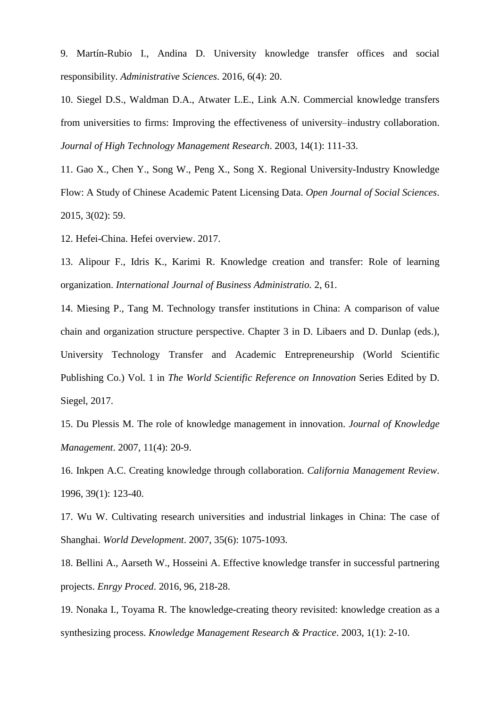9. Martín-Rubio I., Andina D. University knowledge transfer offices and social responsibility. *Administrative Sciences*. 2016, 6(4): 20.

10. Siegel D.S., Waldman D.A., Atwater L.E., Link A.N. Commercial knowledge transfers from universities to firms: Improving the effectiveness of university–industry collaboration. *Journal of High Technology Management Research*. 2003, 14(1): 111-33.

11. Gao X., Chen Y., Song W., Peng X., Song X. Regional University-Industry Knowledge Flow: A Study of Chinese Academic Patent Licensing Data. *Open Journal of Social Sciences*. 2015, 3(02): 59.

12. Hefei-China. Hefei overview. 2017.

13. Alipour F., Idris K., Karimi R. Knowledge creation and transfer: Role of learning organization. *International Journal of Business Administratio.* 2, 61.

14. Miesing P., Tang M. Technology transfer institutions in China: A comparison of value chain and organization structure perspective. Chapter 3 in D. Libaers and D. Dunlap (eds.), University Technology Transfer and Academic Entrepreneurship (World Scientific Publishing Co.) Vol. 1 in *The World Scientific Reference on Innovation* Series Edited by D. Siegel, 2017.

15. Du Plessis M. The role of knowledge management in innovation. *Journal of Knowledge Management*. 2007, 11(4): 20-9.

16. Inkpen A.C. Creating knowledge through collaboration. *California Management Review*. 1996, 39(1): 123-40.

17. Wu W. Cultivating research universities and industrial linkages in China: The case of Shanghai. *World Development*. 2007, 35(6): 1075-1093.

18. Bellini A., Aarseth W., Hosseini A. Effective knowledge transfer in successful partnering projects. *Enrgy Proced*. 2016, 96, 218-28.

19. Nonaka I., Toyama R. The knowledge-creating theory revisited: knowledge creation as a synthesizing process. *Knowledge Management Research & Practice*. 2003, 1(1): 2-10.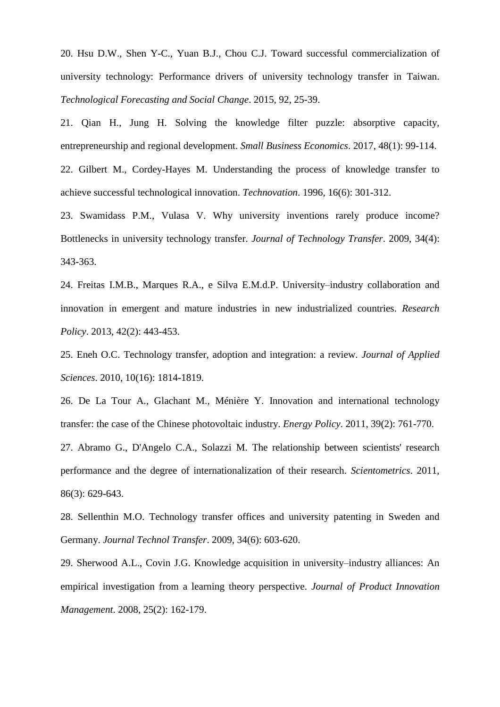20. Hsu D.W., Shen Y-C., Yuan B.J., Chou C.J. Toward successful commercialization of university technology: Performance drivers of university technology transfer in Taiwan. *Technological Forecasting and Social Change*. 2015, 92, 25-39.

21. Qian H., Jung H. Solving the knowledge filter puzzle: absorptive capacity, entrepreneurship and regional development. *Small Business Economics*. 2017, 48(1): 99-114. 22. Gilbert M., Cordey-Hayes M. Understanding the process of knowledge transfer to

achieve successful technological innovation. *Technovation*. 1996, 16(6): 301-312.

23. Swamidass P.M., Vulasa V. Why university inventions rarely produce income? Bottlenecks in university technology transfer. *Journal of Technology Transfer*. 2009, 34(4): 343-363.

24. Freitas I.M.B., Marques R.A., e Silva E.M.d.P. University–industry collaboration and innovation in emergent and mature industries in new industrialized countries. *Research Policy*. 2013, 42(2): 443-453.

25. Eneh O.C. Technology transfer, adoption and integration: a review. *Journal of Applied Sciences*. 2010, 10(16): 1814-1819.

26. De La Tour A., Glachant M., Ménière Y. Innovation and international technology transfer: the case of the Chinese photovoltaic industry. *Energy Policy*. 2011, 39(2): 761-770.

27. Abramo G., D'Angelo C.A., Solazzi M. The relationship between scientists' research performance and the degree of internationalization of their research. *Scientometrics*. 2011, 86(3): 629-643.

28. Sellenthin M.O. Technology transfer offices and university patenting in Sweden and Germany. *Journal Technol Transfer*. 2009, 34(6): 603-620.

29. Sherwood A.L., Covin J.G. Knowledge acquisition in university–industry alliances: An empirical investigation from a learning theory perspective. *Journal of Product Innovation Management*. 2008, 25(2): 162-179.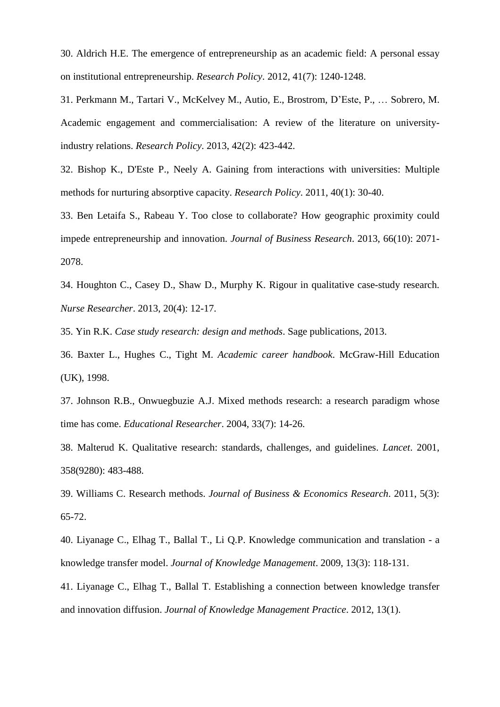30. Aldrich H.E. The emergence of entrepreneurship as an academic field: A personal essay on institutional entrepreneurship. *Research Policy*. 2012, 41(7): 1240-1248.

31. Perkmann M., Tartari V., McKelvey M., Autio, E., Brostrom, D'Este, P., … Sobrero, M. Academic engagement and commercialisation: A review of the literature on universityindustry relations. *Research Policy*. 2013, 42(2): 423-442.

32. Bishop K., D'Este P., Neely A. Gaining from interactions with universities: Multiple methods for nurturing absorptive capacity. *Research Policy*. 2011, 40(1): 30-40.

33. Ben Letaifa S., Rabeau Y. Too close to collaborate? How geographic proximity could impede entrepreneurship and innovation. *Journal of Business Research*. 2013, 66(10): 2071- 2078.

34. Houghton C., Casey D., Shaw D., Murphy K. Rigour in qualitative case-study research. *Nurse Researcher*. 2013, 20(4): 12-17.

35. Yin R.K. *Case study research: design and methods*. Sage publications, 2013.

36. Baxter L., Hughes C., Tight M. *Academic career handbook*. McGraw-Hill Education (UK), 1998.

37. Johnson R.B., Onwuegbuzie A.J. Mixed methods research: a research paradigm whose time has come. *Educational Researcher*. 2004, 33(7): 14-26.

38. Malterud K. Qualitative research: standards, challenges, and guidelines. *Lancet*. 2001, 358(9280): 483-488.

39. Williams C. Research methods. *Journal of Business & Economics Research*. 2011, 5(3): 65-72.

40. Liyanage C., Elhag T., Ballal T., Li Q.P. Knowledge communication and translation - a knowledge transfer model. *Journal of Knowledge Management*. 2009, 13(3): 118-131.

41. Liyanage C., Elhag T., Ballal T. Establishing a connection between knowledge transfer and innovation diffusion. *Journal of Knowledge Management Practice*. 2012, 13(1).